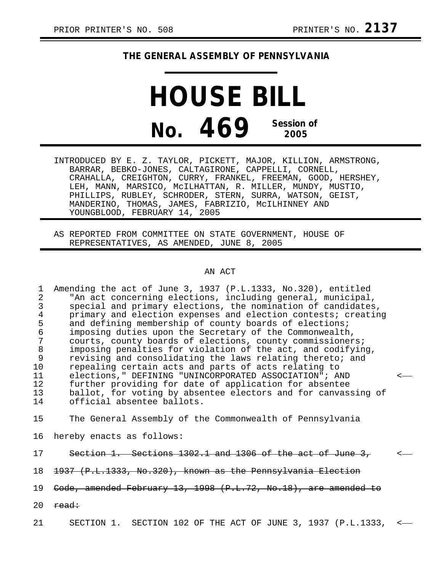## **THE GENERAL ASSEMBLY OF PENNSYLVANIA**

**HOUSE BILL No. 469 Session of 2005**

INTRODUCED BY E. Z. TAYLOR, PICKETT, MAJOR, KILLION, ARMSTRONG, BARRAR, BEBKO-JONES, CALTAGIRONE, CAPPELLI, CORNELL, CRAHALLA, CREIGHTON, CURRY, FRANKEL, FREEMAN, GOOD, HERSHEY, LEH, MANN, MARSICO, McILHATTAN, R. MILLER, MUNDY, MUSTIO, PHILLIPS, RUBLEY, SCHRODER, STERN, SURRA, WATSON, GEIST, MANDERINO, THOMAS, JAMES, FABRIZIO, McILHINNEY AND YOUNGBLOOD, FEBRUARY 14, 2005

AS REPORTED FROM COMMITTEE ON STATE GOVERNMENT, HOUSE OF REPRESENTATIVES, AS AMENDED, JUNE 8, 2005

## AN ACT

1 Amending the act of June 3, 1937 (P.L.1333, No.320), entitled 2 "An act concerning elections, including general, municipal, 3 special and primary elections, the nomination of candidates,<br>4 orimary and election expenses and election contests; creatin 4 primary and election expenses and election contests; creating<br>5 and defining membership of county boards of elections; 5 and defining membership of county boards of elections;<br>6 imposing duties upon the Secretary of the Commonwealth 6 imposing duties upon the Secretary of the Commonwealth, 7 courts, county boards of elections, county commissioners;<br>8 imposing penalties for violation of the act, and codifyin 8 imposing penalties for violation of the act, and codifying,<br>9 revising and consolidating the laws relating thereto; and 9 revising and consolidating the laws relating thereto; and<br>10 repealing certain acts and parts of acts relating to repealing certain acts and parts of acts relating to 11 elections," DEFINING "UNINCORPORATED ASSOCIATION"; AND<br>12 further providing for date of application for absentee 12 further providing for date of application for absentee<br>13 ballot, for voting by absentee electors and for canvas 13 ballot, for voting by absentee electors and for canvassing of<br>14 official absentee ballots. official absentee ballots.

15 The General Assembly of the Commonwealth of Pennsylvania

16 hereby enacts as follows:

17 Section 1. Sections 1302.1 and 1306 of the act of June 3.

18 1937 (P.L.1333, No.320), known as the Pennsylvania Election

19 Code, amended February 13, 1998 (P.L.72, No.18), are amended to

20  $\text{read}:$ 

21 SECTION 1. SECTION 102 OF THE ACT OF JUNE 3, 1937 (P.L.1333, <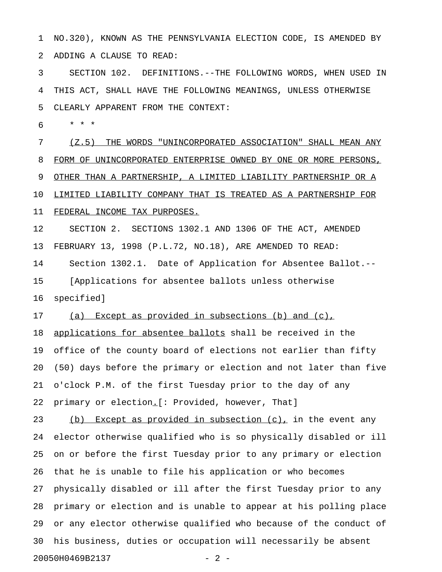1 NO.320), KNOWN AS THE PENNSYLVANIA ELECTION CODE, IS AMENDED BY 2 ADDING A CLAUSE TO READ:

3 SECTION 102. DEFINITIONS.--THE FOLLOWING WORDS, WHEN USED IN 4 THIS ACT, SHALL HAVE THE FOLLOWING MEANINGS, UNLESS OTHERWISE 5 CLEARLY APPARENT FROM THE CONTEXT:

6 \* \* \*

7 (Z.5) THE WORDS "UNINCORPORATED ASSOCIATION" SHALL MEAN ANY 8 FORM OF UNINCORPORATED ENTERPRISE OWNED BY ONE OR MORE PERSONS, 9 OTHER THAN A PARTNERSHIP, A LIMITED LIABILITY PARTNERSHIP OR A 10 LIMITED LIABILITY COMPANY THAT IS TREATED AS A PARTNERSHIP FOR 11 FEDERAL INCOME TAX PURPOSES. 12 SECTION 2. SECTIONS 1302.1 AND 1306 OF THE ACT, AMENDED

13 FEBRUARY 13, 1998 (P.L.72, NO.18), ARE AMENDED TO READ: 14 Section 1302.1. Date of Application for Absentee Ballot.-- 15 [Applications for absentee ballots unless otherwise 16 specified]

17 (a) Except as provided in subsections (b) and (c), 18 applications for absentee ballots shall be received in the 19 office of the county board of elections not earlier than fifty 20 (50) days before the primary or election and not later than five 21 o'clock P.M. of the first Tuesday prior to the day of any 22 primary or election.<sup>[: p</sup>rovided, however, That]

23 (b) Except as provided in subsection  $(c)_L$  in the event any 24 elector otherwise qualified who is so physically disabled or ill 25 on or before the first Tuesday prior to any primary or election 26 that he is unable to file his application or who becomes 27 physically disabled or ill after the first Tuesday prior to any 28 primary or election and is unable to appear at his polling place 29 or any elector otherwise qualified who because of the conduct of 30 his business, duties or occupation will necessarily be absent 20050H0469B2137 - 2 -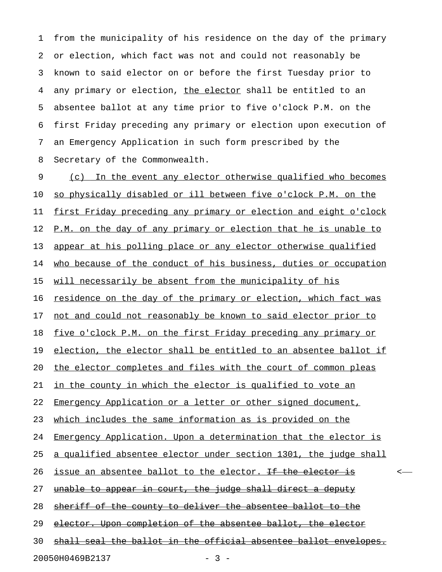1 from the municipality of his residence on the day of the primary 2 or election, which fact was not and could not reasonably be 3 known to said elector on or before the first Tuesday prior to 4 any primary or election, the elector shall be entitled to an 5 absentee ballot at any time prior to five o'clock P.M. on the 6 first Friday preceding any primary or election upon execution of 7 an Emergency Application in such form prescribed by the 8 Secretary of the Commonwealth.

9 (c) In the event any elector otherwise qualified who becomes 10 so physically disabled or ill between five o'clock P.M. on the 11 first Friday preceding any primary or election and eight o'clock 12 P.M. on the day of any primary or election that he is unable to 13 appear at his polling place or any elector otherwise qualified 14 who because of the conduct of his business, duties or occupation 15 will necessarily be absent from the municipality of his 16 residence on the day of the primary or election, which fact was 17 not and could not reasonably be known to said elector prior to 18 five o'clock P.M. on the first Friday preceding any primary or 19 election, the elector shall be entitled to an absentee ballot if 20 the elector completes and files with the court of common pleas 21 in the county in which the elector is qualified to vote an 22 Emergency Application or a letter or other signed document, 23 which includes the same information as is provided on the 24 Emergency Application. Upon a determination that the elector is 25 a qualified absentee elector under section 1301, the judge shall 26 <u>issue an absentee ballot to the elector. <del>If the elector is</del> experience to the extended to the elector.</u> 27 unable to appear in court, the judge shall direct a deputy 28 sheriff of the county to deliver the absentee ballot to the 29 elector. Upon completion of the absentee ballot, the elector 30 shall seal the ballot in the official absentee ballot envelopes. 20050H0469B2137 - 3 -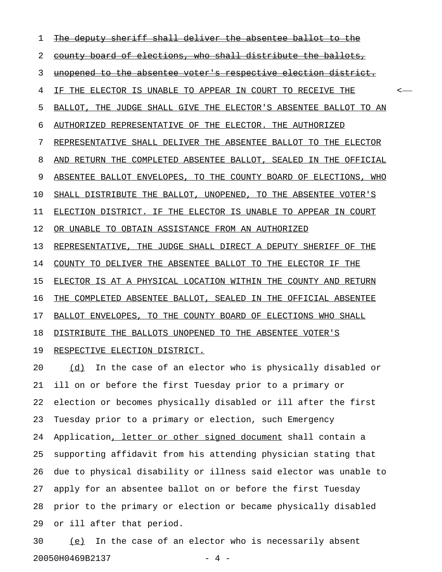1 The deputy sheriff shall deliver the absentee ballot 2 county board of elections, who shall distribute the ballots, 3 unopened to the absentee voter's respective election district. 4 IF THE ELECTOR IS UNABLE TO APPEAR IN COURT TO RECEIVE THE  $\sim$ 5 BALLOT, THE JUDGE SHALL GIVE THE ELECTOR'S ABSENTEE BALLOT TO AN 6 AUTHORIZED REPRESENTATIVE OF THE ELECTOR. THE AUTHORIZED 7 REPRESENTATIVE SHALL DELIVER THE ABSENTEE BALLOT TO THE ELECTOR 8 AND RETURN THE COMPLETED ABSENTEE BALLOT, SEALED IN THE OFFICIAL 9 ABSENTEE BALLOT ENVELOPES, TO THE COUNTY BOARD OF ELECTIONS, WHO 10 SHALL DISTRIBUTE THE BALLOT, UNOPENED, TO THE ABSENTEE VOTER'S 11 ELECTION DISTRICT. IF THE ELECTOR IS UNABLE TO APPEAR IN COURT 12 OR UNABLE TO OBTAIN ASSISTANCE FROM AN AUTHORIZED 13 REPRESENTATIVE, THE JUDGE SHALL DIRECT A DEPUTY SHERIFF OF THE 14 COUNTY TO DELIVER THE ABSENTEE BALLOT TO THE ELECTOR IF THE 15 ELECTOR IS AT A PHYSICAL LOCATION WITHIN THE COUNTY AND RETURN 16 THE COMPLETED ABSENTEE BALLOT, SEALED IN THE OFFICIAL ABSENTEE 17 BALLOT ENVELOPES, TO THE COUNTY BOARD OF ELECTIONS WHO SHALL 18 DISTRIBUTE THE BALLOTS UNOPENED TO THE ABSENTEE VOTER'S 19 RESPECTIVE ELECTION DISTRICT. 20 (d) In the case of an elector who is physically disabled or 21 ill on or before the first Tuesday prior to a primary or 22 election or becomes physically disabled or ill after the first

23 Tuesday prior to a primary or election, such Emergency 24 Application, letter or other signed document shall contain a 25 supporting affidavit from his attending physician stating that 26 due to physical disability or illness said elector was unable to 27 apply for an absentee ballot on or before the first Tuesday 28 prior to the primary or election or became physically disabled 29 or ill after that period.

30 (e) In the case of an elector who is necessarily absent \_\_\_ 20050H0469B2137 - 4 -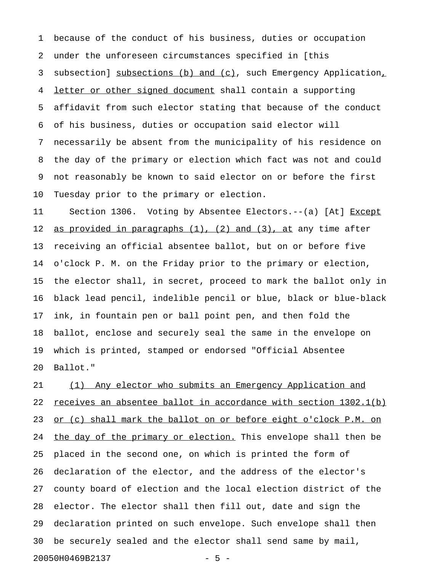1 because of the conduct of his business, duties or occupation 2 under the unforeseen circumstances specified in [this 3 subsection] subsections (b) and (c), such Emergency Application, 4 letter or other signed document shall contain a supporting 5 affidavit from such elector stating that because of the conduct 6 of his business, duties or occupation said elector will 7 necessarily be absent from the municipality of his residence on 8 the day of the primary or election which fact was not and could 9 not reasonably be known to said elector on or before the first 10 Tuesday prior to the primary or election.

11 Section 1306. Voting by Absentee Electors.--(a) [At] Except 12 as provided in paragraphs  $(1)$ ,  $(2)$  and  $(3)$ , at any time after 13 receiving an official absentee ballot, but on or before five 14 o'clock P. M. on the Friday prior to the primary or election, 15 the elector shall, in secret, proceed to mark the ballot only in 16 black lead pencil, indelible pencil or blue, black or blue-black 17 ink, in fountain pen or ball point pen, and then fold the 18 ballot, enclose and securely seal the same in the envelope on 19 which is printed, stamped or endorsed "Official Absentee 20 Ballot."

21 (1) Any elector who submits an Emergency Application and 22 receives an absentee ballot in accordance with section  $1302.1(b)$ 23 or (c) shall mark the ballot on or before eight o'clock P.M. on 24 the day of the primary or election. This envelope shall then be 25 placed in the second one, on which is printed the form of 26 declaration of the elector, and the address of the elector's 27 county board of election and the local election district of the 28 elector. The elector shall then fill out, date and sign the 29 declaration printed on such envelope. Such envelope shall then 30 be securely sealed and the elector shall send same by mail, 20050H0469B2137 - 5 -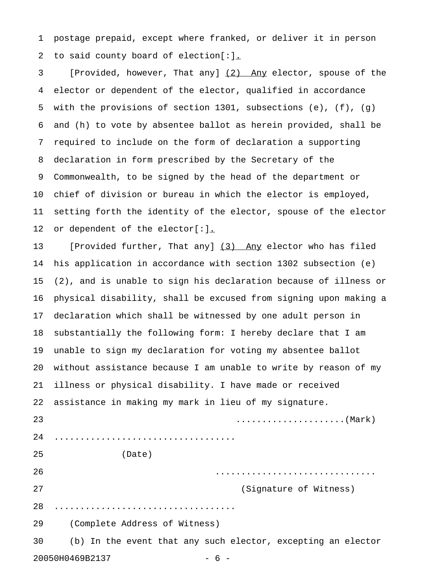1 postage prepaid, except where franked, or deliver it in person 2 to said county board of election[:].

3 [Provided, however, That any] (2) Any elector, spouse of the 4 elector or dependent of the elector, qualified in accordance 5 with the provisions of section 1301, subsections (e), (f), (g) 6 and (h) to vote by absentee ballot as herein provided, shall be 7 required to include on the form of declaration a supporting 8 declaration in form prescribed by the Secretary of the 9 Commonwealth, to be signed by the head of the department or 10 chief of division or bureau in which the elector is employed, 11 setting forth the identity of the elector, spouse of the elector 12 or dependent of the elector[:].

13 [Provided further, That any] (3) Any elector who has filed 14 his application in accordance with section 1302 subsection (e) 15 (2), and is unable to sign his declaration because of illness or 16 physical disability, shall be excused from signing upon making a 17 declaration which shall be witnessed by one adult person in 18 substantially the following form: I hereby declare that I am 19 unable to sign my declaration for voting my absentee ballot 20 without assistance because I am unable to write by reason of my 21 illness or physical disability. I have made or received 22 assistance in making my mark in lieu of my signature. 23 .....................(Mark) 24 ................................... 25 (Date) 26 ............................... 27 (Signature of Witness) 28 ................................... 29 (Complete Address of Witness) 30 (b) In the event that any such elector, excepting an elector 20050H0469B2137 - 6 -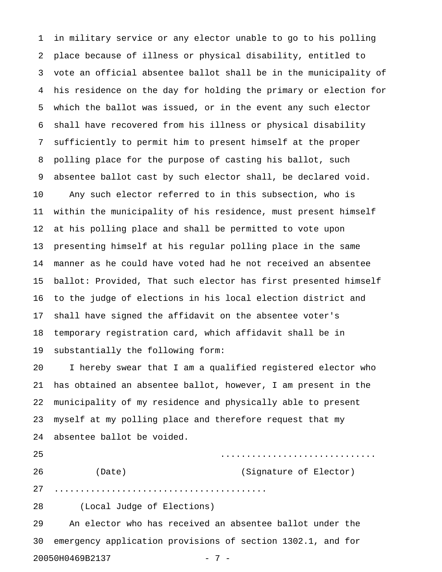1 in military service or any elector unable to go to his polling 2 place because of illness or physical disability, entitled to 3 vote an official absentee ballot shall be in the municipality of 4 his residence on the day for holding the primary or election for 5 which the ballot was issued, or in the event any such elector 6 shall have recovered from his illness or physical disability 7 sufficiently to permit him to present himself at the proper 8 polling place for the purpose of casting his ballot, such 9 absentee ballot cast by such elector shall, be declared void. 10 Any such elector referred to in this subsection, who is 11 within the municipality of his residence, must present himself 12 at his polling place and shall be permitted to vote upon 13 presenting himself at his regular polling place in the same 14 manner as he could have voted had he not received an absentee 15 ballot: Provided, That such elector has first presented himself 16 to the judge of elections in his local election district and 17 shall have signed the affidavit on the absentee voter's 18 temporary registration card, which affidavit shall be in 19 substantially the following form: 20 I hereby swear that I am a qualified registered elector who 21 has obtained an absentee ballot, however, I am present in the 22 municipality of my residence and physically able to present 23 myself at my polling place and therefore request that my 24 absentee ballot be voided. 25 .............................. 26 (Date) (Signature of Elector) 27 ......................................... 28 (Local Judge of Elections) 29 An elector who has received an absentee ballot under the 30 emergency application provisions of section 1302.1, and for

```
20050H0469B2137
```

$$
- 7
$$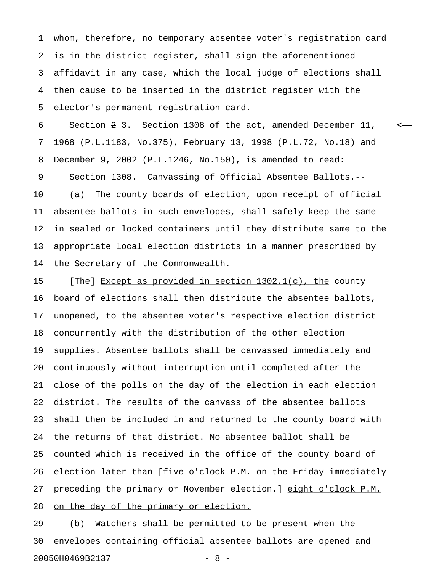1 whom, therefore, no temporary absentee voter's registration card 2 is in the district register, shall sign the aforementioned 3 affidavit in any case, which the local judge of elections shall 4 then cause to be inserted in the district register with the 5 elector's permanent registration card.

6 Section 2 3. Section 1308 of the act, amended December 11, < 7 1968 (P.L.1183, No.375), February 13, 1998 (P.L.72, No.18) and 8 December 9, 2002 (P.L.1246, No.150), is amended to read: 9 Section 1308. Canvassing of Official Absentee Ballots.-- 10 (a) The county boards of election, upon receipt of official

11 absentee ballots in such envelopes, shall safely keep the same 12 in sealed or locked containers until they distribute same to the 13 appropriate local election districts in a manner prescribed by 14 the Secretary of the Commonwealth.

15 [The] Except as provided in section  $1302.1(c)$ , the county 16 board of elections shall then distribute the absentee ballots, 17 unopened, to the absentee voter's respective election district 18 concurrently with the distribution of the other election 19 supplies. Absentee ballots shall be canvassed immediately and 20 continuously without interruption until completed after the 21 close of the polls on the day of the election in each election 22 district. The results of the canvass of the absentee ballots 23 shall then be included in and returned to the county board with 24 the returns of that district. No absentee ballot shall be 25 counted which is received in the office of the county board of 26 election later than [five o'clock P.M. on the Friday immediately 27 preceding the primary or November election.] eight o'clock P.M. 28 on the day of the primary or election.

29 (b) Watchers shall be permitted to be present when the 30 envelopes containing official absentee ballots are opened and 20050H0469B2137 - 8 -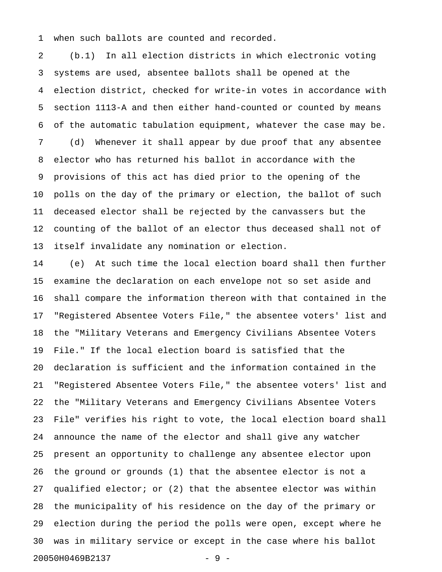1 when such ballots are counted and recorded.

2 (b.1) In all election districts in which electronic voting 3 systems are used, absentee ballots shall be opened at the 4 election district, checked for write-in votes in accordance with 5 section 1113-A and then either hand-counted or counted by means 6 of the automatic tabulation equipment, whatever the case may be. 7 (d) Whenever it shall appear by due proof that any absentee 8 elector who has returned his ballot in accordance with the 9 provisions of this act has died prior to the opening of the 10 polls on the day of the primary or election, the ballot of such 11 deceased elector shall be rejected by the canvassers but the 12 counting of the ballot of an elector thus deceased shall not of 13 itself invalidate any nomination or election.

14 (e) At such time the local election board shall then further 15 examine the declaration on each envelope not so set aside and 16 shall compare the information thereon with that contained in the 17 "Registered Absentee Voters File," the absentee voters' list and 18 the "Military Veterans and Emergency Civilians Absentee Voters 19 File." If the local election board is satisfied that the 20 declaration is sufficient and the information contained in the 21 "Registered Absentee Voters File," the absentee voters' list and 22 the "Military Veterans and Emergency Civilians Absentee Voters 23 File" verifies his right to vote, the local election board shall 24 announce the name of the elector and shall give any watcher 25 present an opportunity to challenge any absentee elector upon 26 the ground or grounds (1) that the absentee elector is not a 27 qualified elector; or (2) that the absentee elector was within 28 the municipality of his residence on the day of the primary or 29 election during the period the polls were open, except where he 30 was in military service or except in the case where his ballot 20050H0469B2137 - 9 -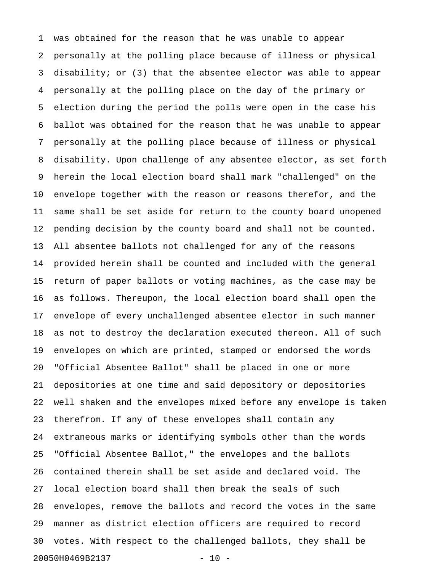1 was obtained for the reason that he was unable to appear 2 personally at the polling place because of illness or physical 3 disability; or (3) that the absentee elector was able to appear 4 personally at the polling place on the day of the primary or 5 election during the period the polls were open in the case his 6 ballot was obtained for the reason that he was unable to appear 7 personally at the polling place because of illness or physical 8 disability. Upon challenge of any absentee elector, as set forth 9 herein the local election board shall mark "challenged" on the 10 envelope together with the reason or reasons therefor, and the 11 same shall be set aside for return to the county board unopened 12 pending decision by the county board and shall not be counted. 13 All absentee ballots not challenged for any of the reasons 14 provided herein shall be counted and included with the general 15 return of paper ballots or voting machines, as the case may be 16 as follows. Thereupon, the local election board shall open the 17 envelope of every unchallenged absentee elector in such manner 18 as not to destroy the declaration executed thereon. All of such 19 envelopes on which are printed, stamped or endorsed the words 20 "Official Absentee Ballot" shall be placed in one or more 21 depositories at one time and said depository or depositories 22 well shaken and the envelopes mixed before any envelope is taken 23 therefrom. If any of these envelopes shall contain any 24 extraneous marks or identifying symbols other than the words 25 "Official Absentee Ballot," the envelopes and the ballots 26 contained therein shall be set aside and declared void. The 27 local election board shall then break the seals of such 28 envelopes, remove the ballots and record the votes in the same 29 manner as district election officers are required to record 30 votes. With respect to the challenged ballots, they shall be 20050H0469B2137 - 10 -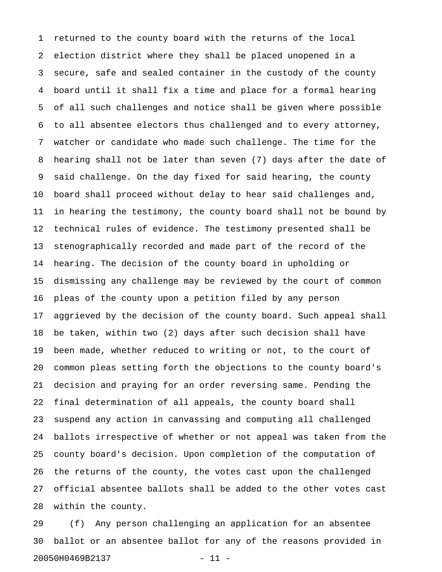1 returned to the county board with the returns of the local 2 election district where they shall be placed unopened in a 3 secure, safe and sealed container in the custody of the county 4 board until it shall fix a time and place for a formal hearing 5 of all such challenges and notice shall be given where possible 6 to all absentee electors thus challenged and to every attorney, 7 watcher or candidate who made such challenge. The time for the 8 hearing shall not be later than seven (7) days after the date of 9 said challenge. On the day fixed for said hearing, the county 10 board shall proceed without delay to hear said challenges and, 11 in hearing the testimony, the county board shall not be bound by 12 technical rules of evidence. The testimony presented shall be 13 stenographically recorded and made part of the record of the 14 hearing. The decision of the county board in upholding or 15 dismissing any challenge may be reviewed by the court of common 16 pleas of the county upon a petition filed by any person 17 aggrieved by the decision of the county board. Such appeal shall 18 be taken, within two (2) days after such decision shall have 19 been made, whether reduced to writing or not, to the court of 20 common pleas setting forth the objections to the county board's 21 decision and praying for an order reversing same. Pending the 22 final determination of all appeals, the county board shall 23 suspend any action in canvassing and computing all challenged 24 ballots irrespective of whether or not appeal was taken from the 25 county board's decision. Upon completion of the computation of 26 the returns of the county, the votes cast upon the challenged 27 official absentee ballots shall be added to the other votes cast 28 within the county.

29 (f) Any person challenging an application for an absentee 30 ballot or an absentee ballot for any of the reasons provided in 20050H0469B2137 - 11 -